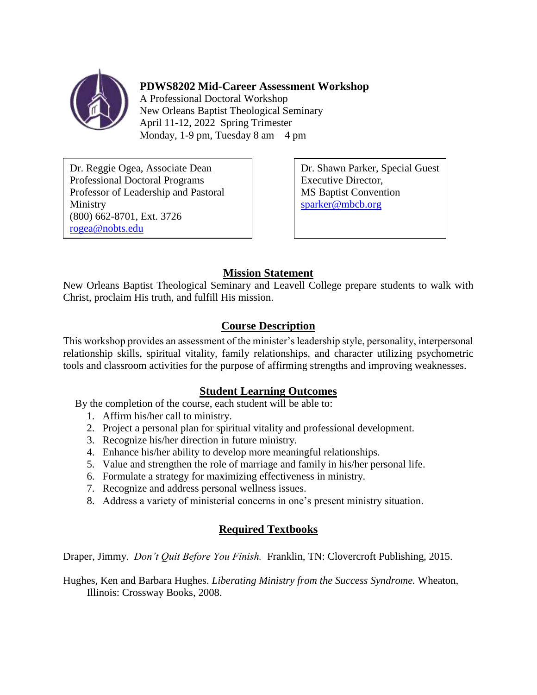

## **PDWS8202 Mid-Career Assessment Workshop**

A Professional Doctoral Workshop New Orleans Baptist Theological Seminary April 11-12, 2022 Spring Trimester Monday, 1-9 pm, Tuesday  $8 \text{ am} - 4 \text{ pm}$ 

Dr. Reggie Ogea, Associate Dean Professional Doctoral Programs Professor of Leadership and Pastoral Ministry (800) 662-8701, Ext. 3726 [rogea@nobts.edu](mailto:rogea@nobts.edu)

Dr. Shawn Parker, Special Guest Executive Director, MS Baptist Convention [sparker@mbcb.org](mailto:sparker@mbcb.org)

# **Mission Statement**

New Orleans Baptist Theological Seminary and Leavell College prepare students to walk with Christ, proclaim His truth, and fulfill His mission.

# **Course Description**

This workshop provides an assessment of the minister's leadership style, personality, interpersonal relationship skills, spiritual vitality, family relationships, and character utilizing psychometric tools and classroom activities for the purpose of affirming strengths and improving weaknesses.

## **Student Learning Outcomes**

By the completion of the course, each student will be able to:

- 1. Affirm his/her call to ministry.
- 2. Project a personal plan for spiritual vitality and professional development.
- 3. Recognize his/her direction in future ministry.
- 4. Enhance his/her ability to develop more meaningful relationships.
- 5. Value and strengthen the role of marriage and family in his/her personal life.
- 6. Formulate a strategy for maximizing effectiveness in ministry.
- 7. Recognize and address personal wellness issues.
- 8. Address a variety of ministerial concerns in one's present ministry situation.

## **Required Textbooks**

Draper, Jimmy. *Don't Quit Before You Finish.* Franklin, TN: Clovercroft Publishing, 2015.

Hughes, Ken and Barbara Hughes. *Liberating Ministry from the Success Syndrome.* Wheaton, Illinois: Crossway Books, 2008.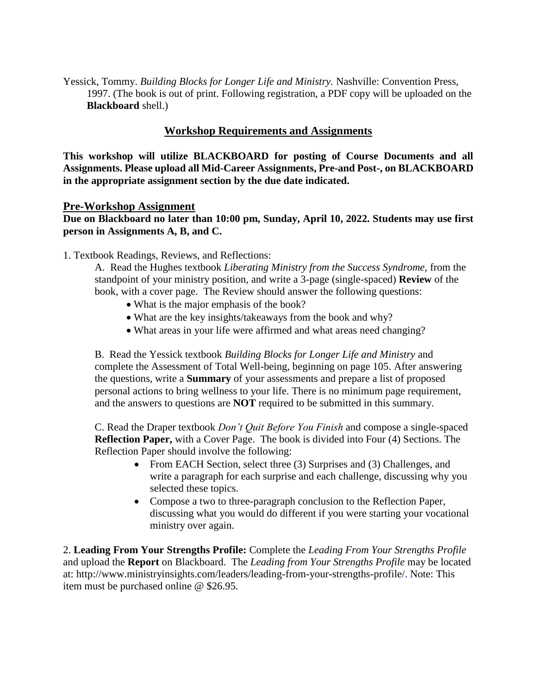Yessick, Tommy. *Building Blocks for Longer Life and Ministry.* Nashville: Convention Press, 1997. (The book is out of print. Following registration, a PDF copy will be uploaded on the **Blackboard** shell.)

#### **Workshop Requirements and Assignments**

**This workshop will utilize BLACKBOARD for posting of Course Documents and all Assignments. Please upload all Mid-Career Assignments, Pre-and Post-, on BLACKBOARD in the appropriate assignment section by the due date indicated.**

#### **Pre-Workshop Assignment**

**Due on Blackboard no later than 10:00 pm, Sunday, April 10, 2022. Students may use first person in Assignments A, B, and C.** 

1. Textbook Readings, Reviews, and Reflections:

A. Read the Hughes textbook *Liberating Ministry from the Success Syndrome,* from the standpoint of your ministry position*,* and write a 3-page (single-spaced) **Review** of the book, with a cover page. The Review should answer the following questions:

- What is the major emphasis of the book?
- What are the key insights/takeaways from the book and why?
- What areas in your life were affirmed and what areas need changing?

B. Read the Yessick textbook *Building Blocks for Longer Life and Ministry* and complete the Assessment of Total Well-being, beginning on page 105. After answering the questions, write a **Summary** of your assessments and prepare a list of proposed personal actions to bring wellness to your life. There is no minimum page requirement, and the answers to questions are **NOT** required to be submitted in this summary.

C. Read the Draper textbook *Don't Quit Before You Finish* and compose a single-spaced **Reflection Paper,** with a Cover Page. The book is divided into Four (4) Sections. The Reflection Paper should involve the following:

- From EACH Section, select three (3) Surprises and (3) Challenges, and write a paragraph for each surprise and each challenge, discussing why you selected these topics.
- Compose a two to three-paragraph conclusion to the Reflection Paper, discussing what you would do different if you were starting your vocational ministry over again.

2. **Leading From Your Strengths Profile:** Complete the *Leading From Your Strengths Profile* and upload the **Report** on Blackboard. The *Leading from Your Strengths Profile* may be located at: http://www.ministryinsights.com/leaders/leading-from-your-strengths-profile/. Note: This item must be purchased online @ \$26.95.